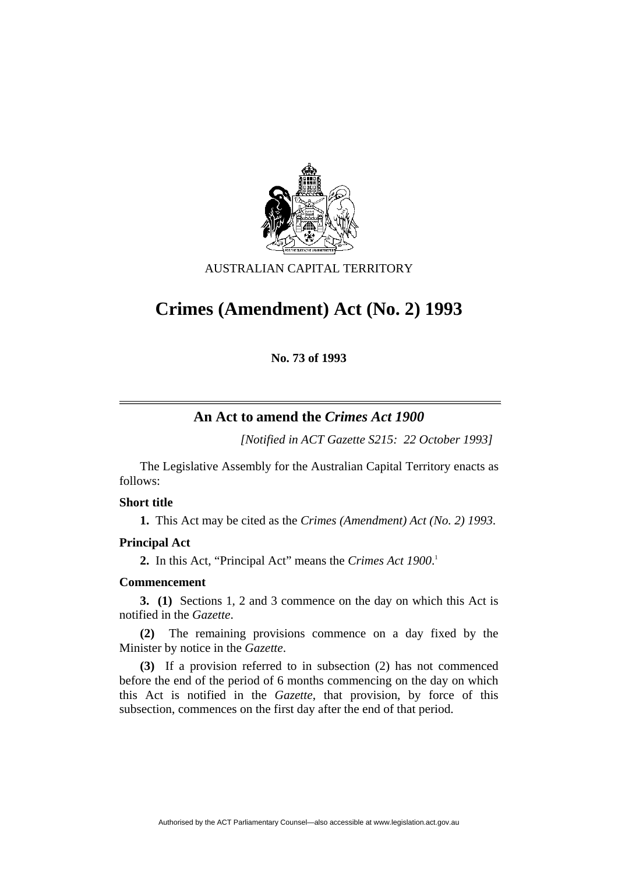

## AUSTRALIAN CAPITAL TERRITORY

# **Crimes (Amendment) Act (No. 2) 1993**

**No. 73 of 1993** 

# **An Act to amend the** *Crimes Act 1900*

*[Notified in ACT Gazette S215: 22 October 1993]*

 The Legislative Assembly for the Australian Capital Territory enacts as follows:

#### **Short title**

**1.** This Act may be cited as the *Crimes (Amendment) Act (No. 2) 1993*.

## **Principal Act**

**2.** In this Act, "Principal Act" means the *Crimes Act 1900*. 1

## **Commencement**

**3. (1)** Sections 1, 2 and 3 commence on the day on which this Act is notified in the *Gazette*.

**(2)** The remaining provisions commence on a day fixed by the Minister by notice in the *Gazette*.

**(3)** If a provision referred to in subsection (2) has not commenced before the end of the period of 6 months commencing on the day on which this Act is notified in the *Gazette*, that provision, by force of this subsection, commences on the first day after the end of that period.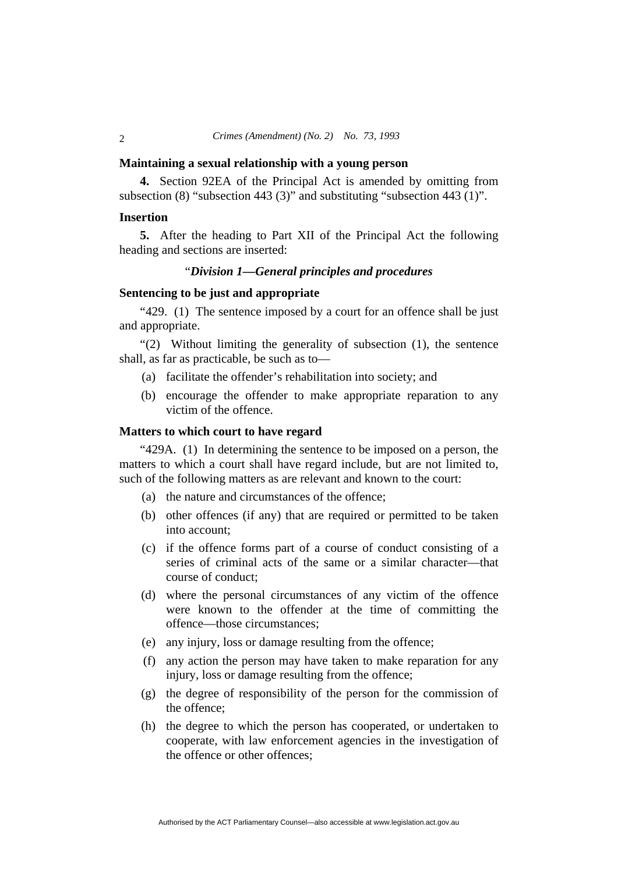#### **Maintaining a sexual relationship with a young person**

**4.** Section 92EA of the Principal Act is amended by omitting from subsection (8) "subsection 443 (3)" and substituting "subsection 443 (1)".

#### **Insertion**

**5.** After the heading to Part XII of the Principal Act the following heading and sections are inserted:

## "*Division 1—General principles and procedures*

#### **Sentencing to be just and appropriate**

"429. (1) The sentence imposed by a court for an offence shall be just and appropriate.

"(2) Without limiting the generality of subsection (1), the sentence shall, as far as practicable, be such as to—

- (a) facilitate the offender's rehabilitation into society; and
- (b) encourage the offender to make appropriate reparation to any victim of the offence.

#### **Matters to which court to have regard**

"429A. (1) In determining the sentence to be imposed on a person, the matters to which a court shall have regard include, but are not limited to, such of the following matters as are relevant and known to the court:

- (a) the nature and circumstances of the offence;
- (b) other offences (if any) that are required or permitted to be taken into account;
- (c) if the offence forms part of a course of conduct consisting of a series of criminal acts of the same or a similar character—that course of conduct;
- (d) where the personal circumstances of any victim of the offence were known to the offender at the time of committing the offence—those circumstances;
- (e) any injury, loss or damage resulting from the offence;
- (f) any action the person may have taken to make reparation for any injury, loss or damage resulting from the offence;
- (g) the degree of responsibility of the person for the commission of the offence;
- (h) the degree to which the person has cooperated, or undertaken to cooperate, with law enforcement agencies in the investigation of the offence or other offences;

 $\overline{2}$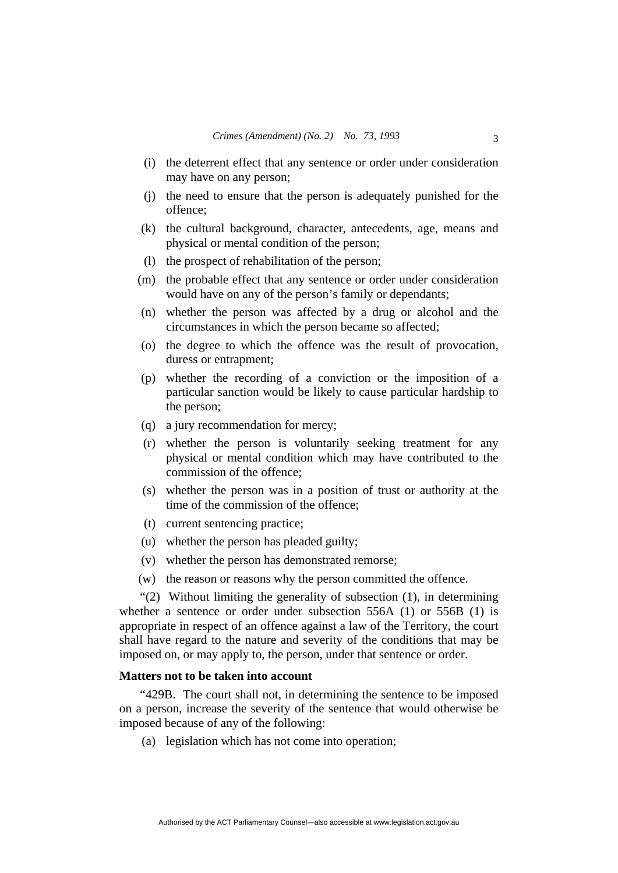- (i) the deterrent effect that any sentence or order under consideration may have on any person;
- (j) the need to ensure that the person is adequately punished for the offence;
- (k) the cultural background, character, antecedents, age, means and physical or mental condition of the person;
- (l) the prospect of rehabilitation of the person;
- (m) the probable effect that any sentence or order under consideration would have on any of the person's family or dependants;
- (n) whether the person was affected by a drug or alcohol and the circumstances in which the person became so affected;
- (o) the degree to which the offence was the result of provocation, duress or entrapment;
- (p) whether the recording of a conviction or the imposition of a particular sanction would be likely to cause particular hardship to the person;
- (q) a jury recommendation for mercy;
- (r) whether the person is voluntarily seeking treatment for any physical or mental condition which may have contributed to the commission of the offence;
- (s) whether the person was in a position of trust or authority at the time of the commission of the offence;
- (t) current sentencing practice;
- (u) whether the person has pleaded guilty;
- (v) whether the person has demonstrated remorse;
- (w) the reason or reasons why the person committed the offence.

"(2) Without limiting the generality of subsection (1), in determining whether a sentence or order under subsection 556A (1) or 556B (1) is appropriate in respect of an offence against a law of the Territory, the court shall have regard to the nature and severity of the conditions that may be imposed on, or may apply to, the person, under that sentence or order.

#### **Matters not to be taken into account**

"429B. The court shall not, in determining the sentence to be imposed on a person, increase the severity of the sentence that would otherwise be imposed because of any of the following:

(a) legislation which has not come into operation;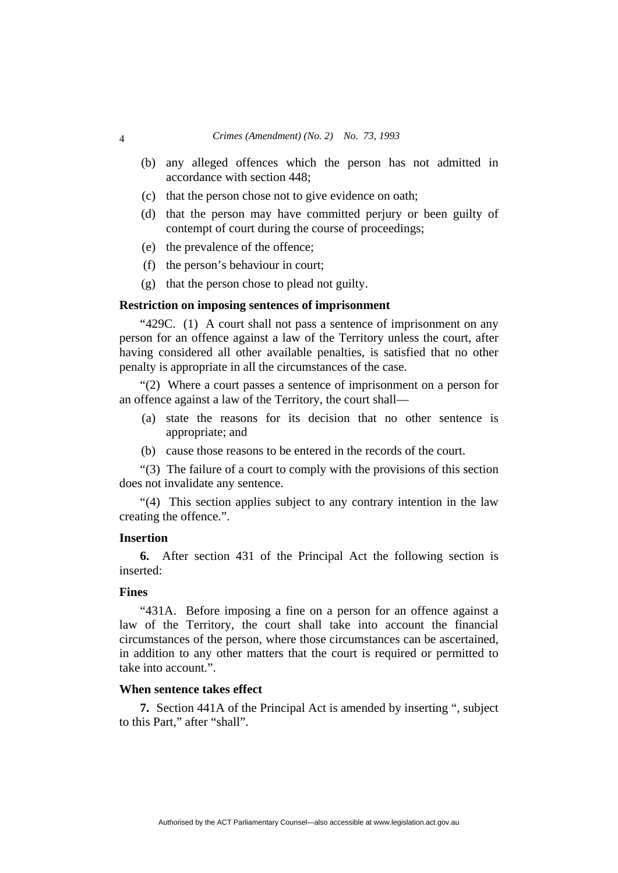- (b) any alleged offences which the person has not admitted in accordance with section 448;
- (c) that the person chose not to give evidence on oath;
- (d) that the person may have committed perjury or been guilty of contempt of court during the course of proceedings;
- (e) the prevalence of the offence;
- (f) the person's behaviour in court;
- (g) that the person chose to plead not guilty.

#### **Restriction on imposing sentences of imprisonment**

"429C. (1) A court shall not pass a sentence of imprisonment on any person for an offence against a law of the Territory unless the court, after having considered all other available penalties, is satisfied that no other penalty is appropriate in all the circumstances of the case.

"(2) Where a court passes a sentence of imprisonment on a person for an offence against a law of the Territory, the court shall—

- (a) state the reasons for its decision that no other sentence is appropriate; and
- (b) cause those reasons to be entered in the records of the court.

"(3) The failure of a court to comply with the provisions of this section does not invalidate any sentence.

"(4) This section applies subject to any contrary intention in the law creating the offence.".

#### **Insertion**

**6.** After section 431 of the Principal Act the following section is inserted:

#### **Fines**

"431A. Before imposing a fine on a person for an offence against a law of the Territory, the court shall take into account the financial circumstances of the person, where those circumstances can be ascertained, in addition to any other matters that the court is required or permitted to take into account."

## **When sentence takes effect**

**7.** Section 441A of the Principal Act is amended by inserting ", subject to this Part," after "shall".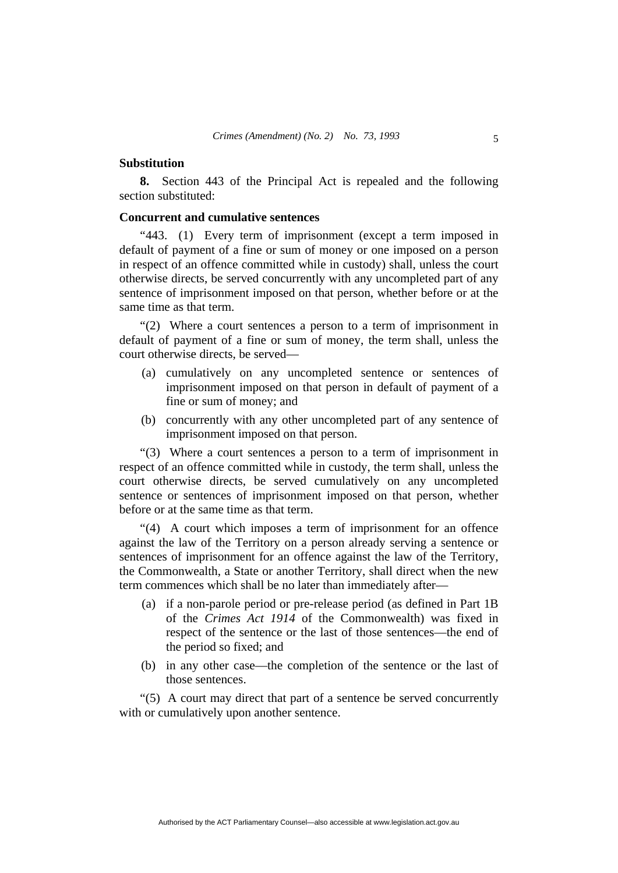#### **Substitution**

**8.** Section 443 of the Principal Act is repealed and the following section substituted:

#### **Concurrent and cumulative sentences**

"443. (1) Every term of imprisonment (except a term imposed in default of payment of a fine or sum of money or one imposed on a person in respect of an offence committed while in custody) shall, unless the court otherwise directs, be served concurrently with any uncompleted part of any sentence of imprisonment imposed on that person, whether before or at the same time as that term.

"(2) Where a court sentences a person to a term of imprisonment in default of payment of a fine or sum of money, the term shall, unless the court otherwise directs, be served—

- (a) cumulatively on any uncompleted sentence or sentences of imprisonment imposed on that person in default of payment of a fine or sum of money; and
- (b) concurrently with any other uncompleted part of any sentence of imprisonment imposed on that person.

"(3) Where a court sentences a person to a term of imprisonment in respect of an offence committed while in custody, the term shall, unless the court otherwise directs, be served cumulatively on any uncompleted sentence or sentences of imprisonment imposed on that person, whether before or at the same time as that term.

"(4) A court which imposes a term of imprisonment for an offence against the law of the Territory on a person already serving a sentence or sentences of imprisonment for an offence against the law of the Territory, the Commonwealth, a State or another Territory, shall direct when the new term commences which shall be no later than immediately after—

- (a) if a non-parole period or pre-release period (as defined in Part 1B of the *Crimes Act 1914* of the Commonwealth) was fixed in respect of the sentence or the last of those sentences—the end of the period so fixed; and
- (b) in any other case—the completion of the sentence or the last of those sentences.

"(5) A court may direct that part of a sentence be served concurrently with or cumulatively upon another sentence.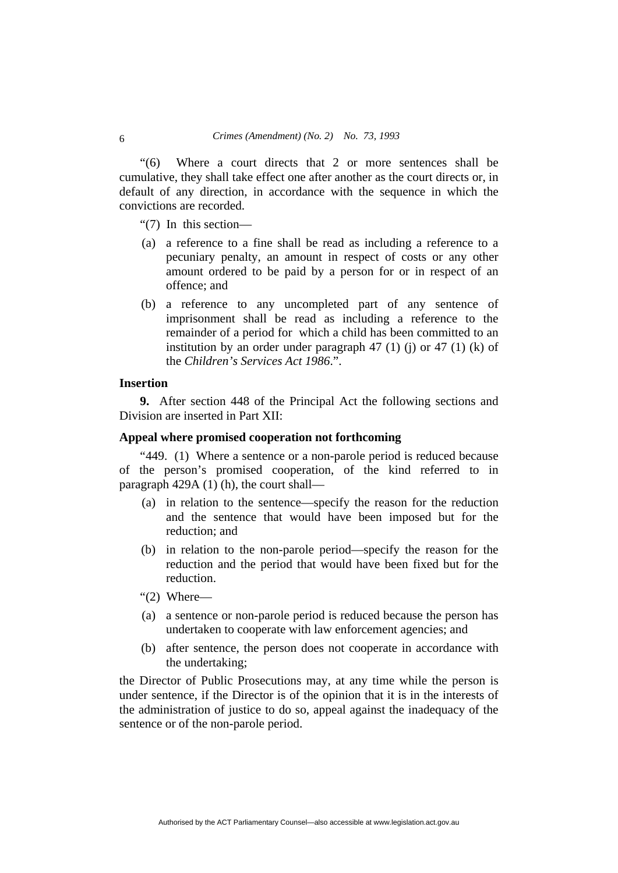"(6) Where a court directs that 2 or more sentences shall be cumulative, they shall take effect one after another as the court directs or, in default of any direction, in accordance with the sequence in which the convictions are recorded.

"(7) In this section—

- (a) a reference to a fine shall be read as including a reference to a pecuniary penalty, an amount in respect of costs or any other amount ordered to be paid by a person for or in respect of an offence; and
- (b) a reference to any uncompleted part of any sentence of imprisonment shall be read as including a reference to the remainder of a period for which a child has been committed to an institution by an order under paragraph  $47$  (1) (i) or  $47$  (1) (k) of the *Children's Services Act 1986*.".

# **Insertion**

**9.** After section 448 of the Principal Act the following sections and Division are inserted in Part XII:

#### **Appeal where promised cooperation not forthcoming**

"449. (1) Where a sentence or a non-parole period is reduced because of the person's promised cooperation, of the kind referred to in paragraph 429A (1) (h), the court shall—

- (a) in relation to the sentence—specify the reason for the reduction and the sentence that would have been imposed but for the reduction; and
- (b) in relation to the non-parole period—specify the reason for the reduction and the period that would have been fixed but for the reduction.
- "(2) Where—
- (a) a sentence or non-parole period is reduced because the person has undertaken to cooperate with law enforcement agencies; and
- (b) after sentence, the person does not cooperate in accordance with the undertaking;

the Director of Public Prosecutions may, at any time while the person is under sentence, if the Director is of the opinion that it is in the interests of the administration of justice to do so, appeal against the inadequacy of the sentence or of the non-parole period.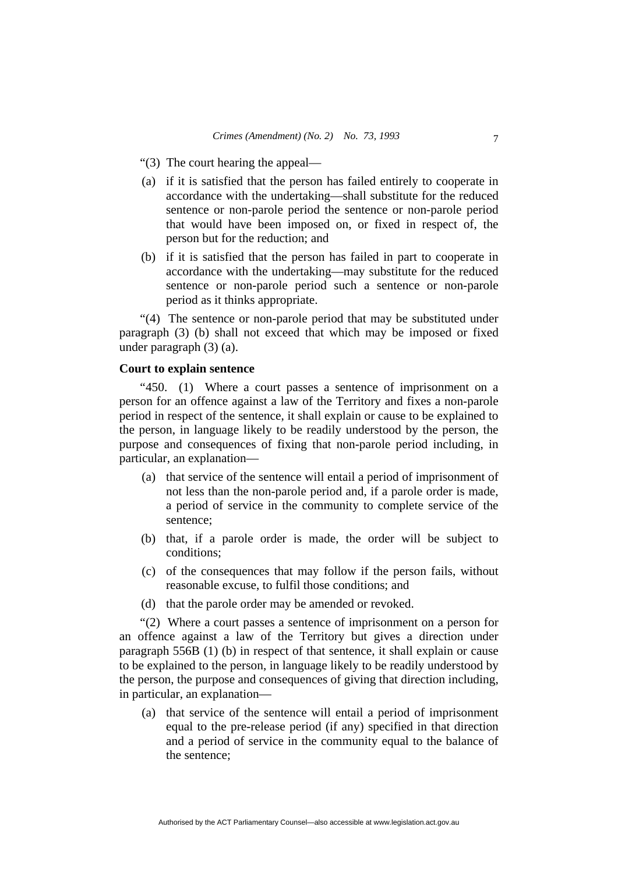- "(3) The court hearing the appeal—
- (a) if it is satisfied that the person has failed entirely to cooperate in accordance with the undertaking—shall substitute for the reduced sentence or non-parole period the sentence or non-parole period that would have been imposed on, or fixed in respect of, the person but for the reduction; and
- (b) if it is satisfied that the person has failed in part to cooperate in accordance with the undertaking—may substitute for the reduced sentence or non-parole period such a sentence or non-parole period as it thinks appropriate.

"(4) The sentence or non-parole period that may be substituted under paragraph (3) (b) shall not exceed that which may be imposed or fixed under paragraph (3) (a).

## **Court to explain sentence**

"450. (1) Where a court passes a sentence of imprisonment on a person for an offence against a law of the Territory and fixes a non-parole period in respect of the sentence, it shall explain or cause to be explained to the person, in language likely to be readily understood by the person, the purpose and consequences of fixing that non-parole period including, in particular, an explanation—

- (a) that service of the sentence will entail a period of imprisonment of not less than the non-parole period and, if a parole order is made, a period of service in the community to complete service of the sentence;
- (b) that, if a parole order is made, the order will be subject to conditions;
- (c) of the consequences that may follow if the person fails, without reasonable excuse, to fulfil those conditions; and
- (d) that the parole order may be amended or revoked.

"(2) Where a court passes a sentence of imprisonment on a person for an offence against a law of the Territory but gives a direction under paragraph 556B (1) (b) in respect of that sentence, it shall explain or cause to be explained to the person, in language likely to be readily understood by the person, the purpose and consequences of giving that direction including, in particular, an explanation—

 (a) that service of the sentence will entail a period of imprisonment equal to the pre-release period (if any) specified in that direction and a period of service in the community equal to the balance of the sentence;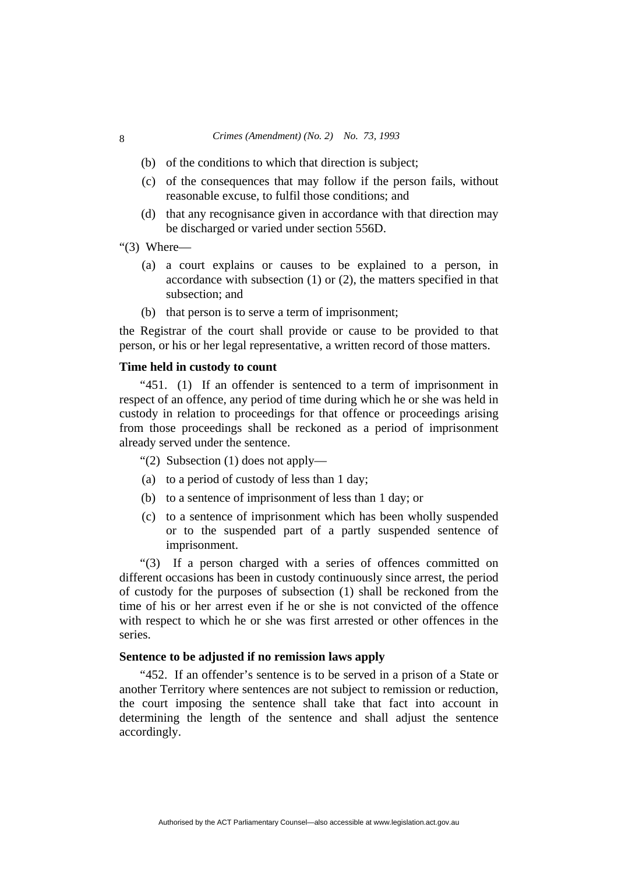- (b) of the conditions to which that direction is subject;
- (c) of the consequences that may follow if the person fails, without reasonable excuse, to fulfil those conditions; and
- (d) that any recognisance given in accordance with that direction may be discharged or varied under section 556D.
- "(3) Where—
	- (a) a court explains or causes to be explained to a person, in accordance with subsection (1) or (2), the matters specified in that subsection; and
	- (b) that person is to serve a term of imprisonment;

the Registrar of the court shall provide or cause to be provided to that person, or his or her legal representative, a written record of those matters.

#### **Time held in custody to count**

"451. (1) If an offender is sentenced to a term of imprisonment in respect of an offence, any period of time during which he or she was held in custody in relation to proceedings for that offence or proceedings arising from those proceedings shall be reckoned as a period of imprisonment already served under the sentence.

"(2) Subsection (1) does not apply—

- (a) to a period of custody of less than 1 day;
- (b) to a sentence of imprisonment of less than 1 day; or
- (c) to a sentence of imprisonment which has been wholly suspended or to the suspended part of a partly suspended sentence of imprisonment.

"(3) If a person charged with a series of offences committed on different occasions has been in custody continuously since arrest, the period of custody for the purposes of subsection (1) shall be reckoned from the time of his or her arrest even if he or she is not convicted of the offence with respect to which he or she was first arrested or other offences in the series.

## **Sentence to be adjusted if no remission laws apply**

"452. If an offender's sentence is to be served in a prison of a State or another Territory where sentences are not subject to remission or reduction, the court imposing the sentence shall take that fact into account in determining the length of the sentence and shall adjust the sentence accordingly.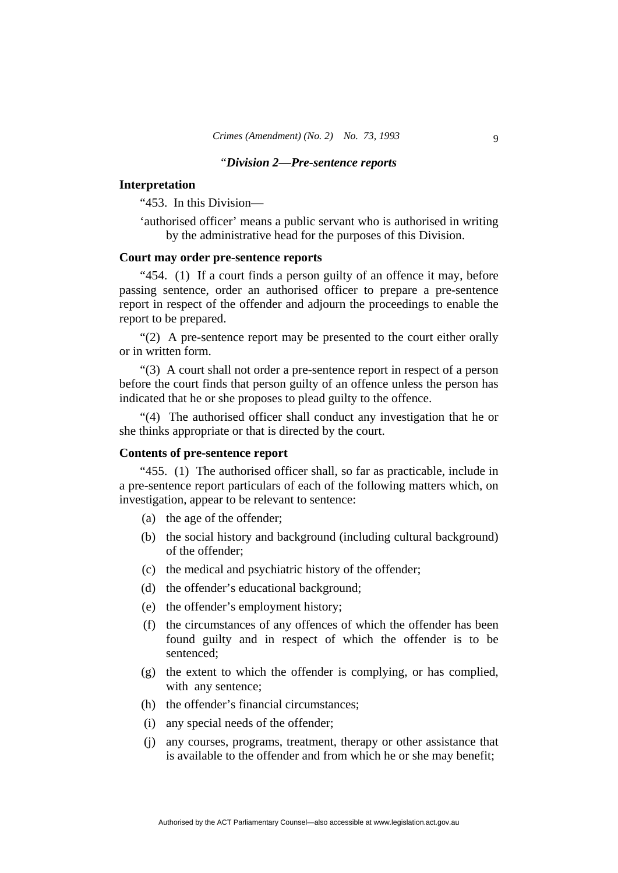#### "*Division 2—Pre-sentence reports*

#### **Interpretation**

"453. In this Division—

'authorised officer' means a public servant who is authorised in writing by the administrative head for the purposes of this Division.

#### **Court may order pre-sentence reports**

"454. (1) If a court finds a person guilty of an offence it may, before passing sentence, order an authorised officer to prepare a pre-sentence report in respect of the offender and adjourn the proceedings to enable the report to be prepared.

"(2) A pre-sentence report may be presented to the court either orally or in written form.

"(3) A court shall not order a pre-sentence report in respect of a person before the court finds that person guilty of an offence unless the person has indicated that he or she proposes to plead guilty to the offence.

"(4) The authorised officer shall conduct any investigation that he or she thinks appropriate or that is directed by the court.

#### **Contents of pre-sentence report**

"455. (1) The authorised officer shall, so far as practicable, include in a pre-sentence report particulars of each of the following matters which, on investigation, appear to be relevant to sentence:

- (a) the age of the offender;
- (b) the social history and background (including cultural background) of the offender;
- (c) the medical and psychiatric history of the offender;
- (d) the offender's educational background;
- (e) the offender's employment history;
- (f) the circumstances of any offences of which the offender has been found guilty and in respect of which the offender is to be sentenced;
- (g) the extent to which the offender is complying, or has complied, with any sentence;
- (h) the offender's financial circumstances;
- (i) any special needs of the offender;
- (j) any courses, programs, treatment, therapy or other assistance that is available to the offender and from which he or she may benefit;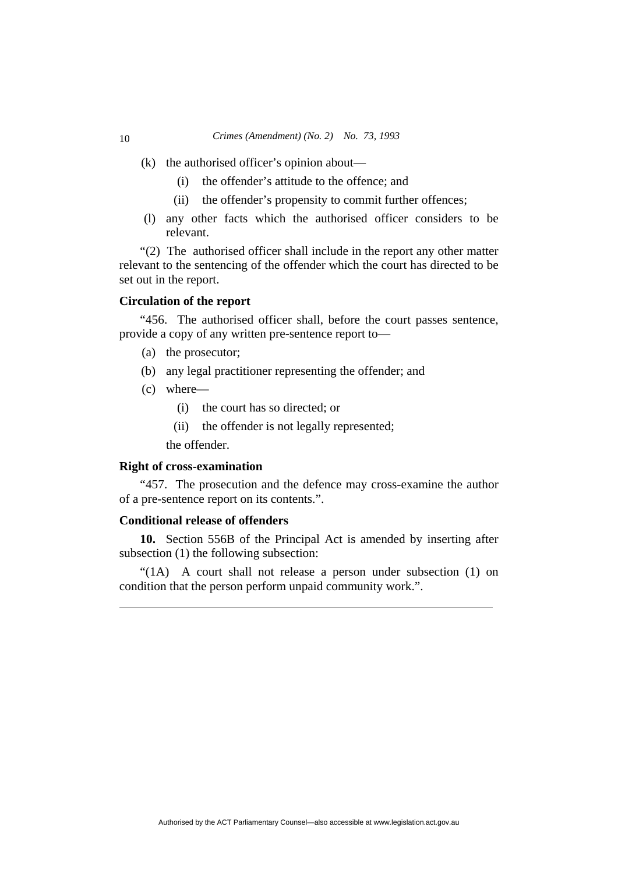- (k) the authorised officer's opinion about—
	- (i) the offender's attitude to the offence; and
	- (ii) the offender's propensity to commit further offences;
- (l) any other facts which the authorised officer considers to be relevant.

"(2) The authorised officer shall include in the report any other matter relevant to the sentencing of the offender which the court has directed to be set out in the report.

#### **Circulation of the report**

"456. The authorised officer shall, before the court passes sentence, provide a copy of any written pre-sentence report to—

- (a) the prosecutor;
- (b) any legal practitioner representing the offender; and
- (c) where—
	- (i) the court has so directed; or
	- (ii) the offender is not legally represented;

the offender.

#### **Right of cross-examination**

"457. The prosecution and the defence may cross-examine the author of a pre-sentence report on its contents.".

#### **Conditional release of offenders**

**10.** Section 556B of the Principal Act is amended by inserting after subsection (1) the following subsection:

"(1A) A court shall not release a person under subsection (1) on condition that the person perform unpaid community work.".